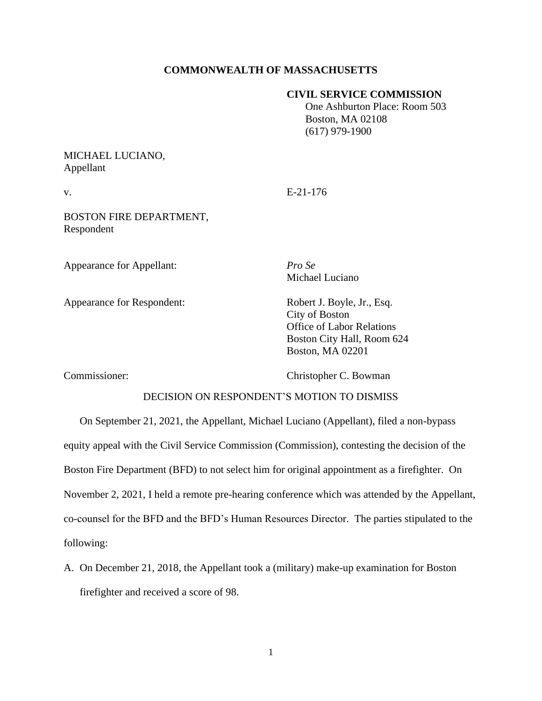# **COMMONWEALTH OF MASSACHUSETTS**

## **CIVIL SERVICE COMMISSION**

 One Ashburton Place: Room 503 Boston, MA 02108 (617) 979-1900

# MICHAEL LUCIANO, Appellant

v. E-21-176

BOSTON FIRE DEPARTMENT, Respondent

Appearance for Appellant: *Pro Se*

Michael Luciano

Appearance for Respondent: Robert J. Boyle, Jr., Esq.

City of Boston Office of Labor Relations Boston City Hall, Room 624 Boston, MA 02201

Commissioner: Christopher C. Bowman

# DECISION ON RESPONDENT'S MOTION TO DISMISS

On September 21, 2021, the Appellant, Michael Luciano (Appellant), filed a non-bypass equity appeal with the Civil Service Commission (Commission), contesting the decision of the Boston Fire Department (BFD) to not select him for original appointment as a firefighter. On November 2, 2021, I held a remote pre-hearing conference which was attended by the Appellant, co-counsel for the BFD and the BFD's Human Resources Director. The parties stipulated to the following:

A. On December 21, 2018, the Appellant took a (military) make-up examination for Boston firefighter and received a score of 98.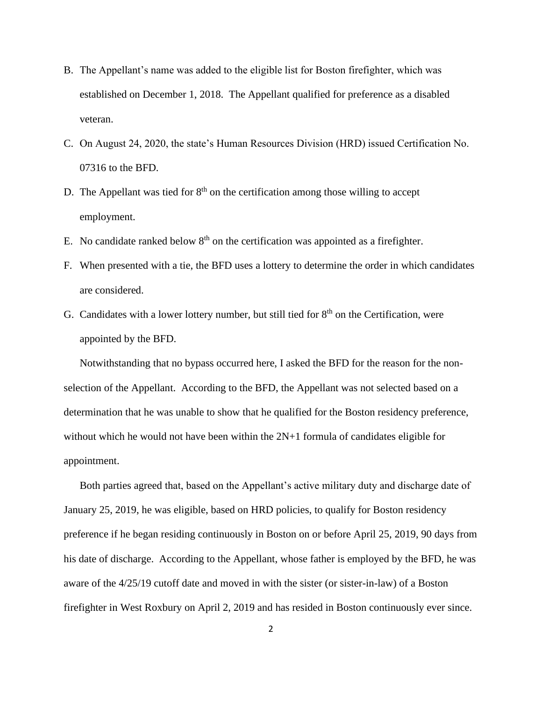- B. The Appellant's name was added to the eligible list for Boston firefighter, which was established on December 1, 2018. The Appellant qualified for preference as a disabled veteran.
- C. On August 24, 2020, the state's Human Resources Division (HRD) issued Certification No. 07316 to the BFD.
- D. The Appellant was tied for  $8<sup>th</sup>$  on the certification among those willing to accept employment.
- E. No candidate ranked below  $8<sup>th</sup>$  on the certification was appointed as a firefighter.
- F. When presented with a tie, the BFD uses a lottery to determine the order in which candidates are considered.
- G. Candidates with a lower lottery number, but still tied for  $8<sup>th</sup>$  on the Certification, were appointed by the BFD.

Notwithstanding that no bypass occurred here, I asked the BFD for the reason for the nonselection of the Appellant. According to the BFD, the Appellant was not selected based on a determination that he was unable to show that he qualified for the Boston residency preference, without which he would not have been within the 2N+1 formula of candidates eligible for appointment.

Both parties agreed that, based on the Appellant's active military duty and discharge date of January 25, 2019, he was eligible, based on HRD policies, to qualify for Boston residency preference if he began residing continuously in Boston on or before April 25, 2019, 90 days from his date of discharge. According to the Appellant, whose father is employed by the BFD, he was aware of the 4/25/19 cutoff date and moved in with the sister (or sister-in-law) of a Boston firefighter in West Roxbury on April 2, 2019 and has resided in Boston continuously ever since.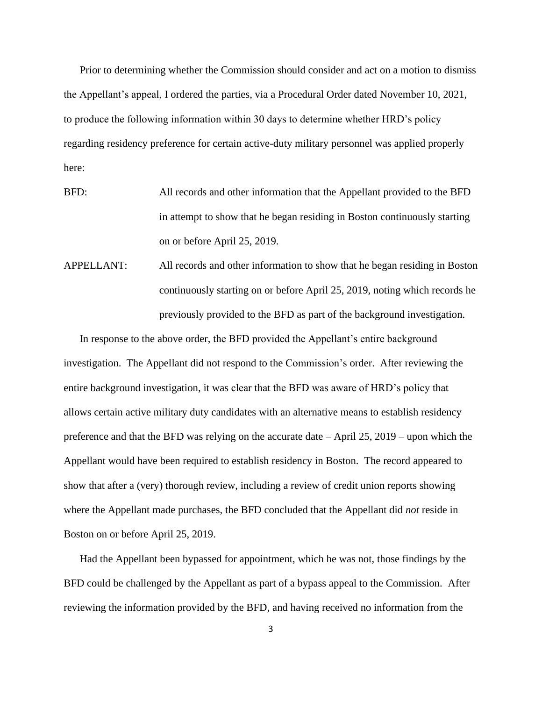Prior to determining whether the Commission should consider and act on a motion to dismiss the Appellant's appeal, I ordered the parties, via a Procedural Order dated November 10, 2021, to produce the following information within 30 days to determine whether HRD's policy regarding residency preference for certain active-duty military personnel was applied properly here:

- BFD: All records and other information that the Appellant provided to the BFD in attempt to show that he began residing in Boston continuously starting on or before April 25, 2019.
- APPELLANT: All records and other information to show that he began residing in Boston continuously starting on or before April 25, 2019, noting which records he previously provided to the BFD as part of the background investigation.

In response to the above order, the BFD provided the Appellant's entire background investigation. The Appellant did not respond to the Commission's order. After reviewing the entire background investigation, it was clear that the BFD was aware of HRD's policy that allows certain active military duty candidates with an alternative means to establish residency preference and that the BFD was relying on the accurate date – April 25, 2019 – upon which the Appellant would have been required to establish residency in Boston. The record appeared to show that after a (very) thorough review, including a review of credit union reports showing where the Appellant made purchases, the BFD concluded that the Appellant did *not* reside in Boston on or before April 25, 2019.

Had the Appellant been bypassed for appointment, which he was not, those findings by the BFD could be challenged by the Appellant as part of a bypass appeal to the Commission. After reviewing the information provided by the BFD, and having received no information from the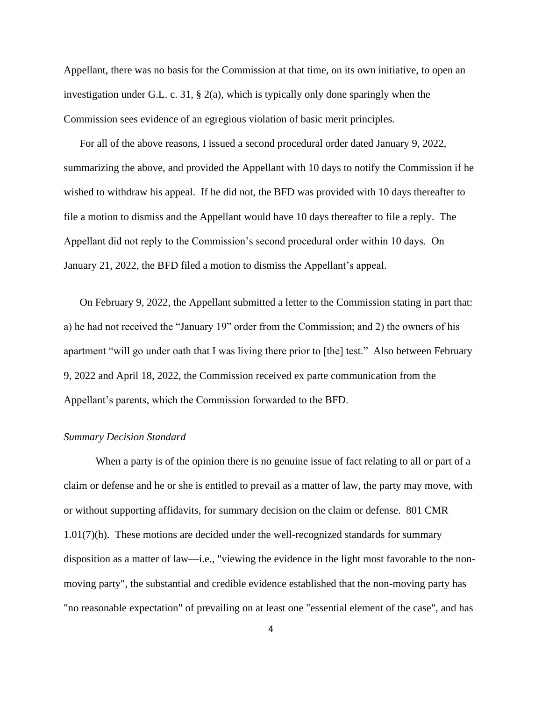Appellant, there was no basis for the Commission at that time, on its own initiative, to open an investigation under G.L. c. 31,  $\S$  2(a), which is typically only done sparingly when the Commission sees evidence of an egregious violation of basic merit principles.

For all of the above reasons, I issued a second procedural order dated January 9, 2022, summarizing the above, and provided the Appellant with 10 days to notify the Commission if he wished to withdraw his appeal. If he did not, the BFD was provided with 10 days thereafter to file a motion to dismiss and the Appellant would have 10 days thereafter to file a reply. The Appellant did not reply to the Commission's second procedural order within 10 days. On January 21, 2022, the BFD filed a motion to dismiss the Appellant's appeal.

On February 9, 2022, the Appellant submitted a letter to the Commission stating in part that: a) he had not received the "January 19" order from the Commission; and 2) the owners of his apartment "will go under oath that I was living there prior to [the] test." Also between February 9, 2022 and April 18, 2022, the Commission received ex parte communication from the Appellant's parents, which the Commission forwarded to the BFD.

#### *Summary Decision Standard*

When a party is of the opinion there is no genuine issue of fact relating to all or part of a claim or defense and he or she is entitled to prevail as a matter of law, the party may move, with or without supporting affidavits, for summary decision on the claim or defense. 801 CMR 1.01(7)(h). These motions are decided under the well-recognized standards for summary disposition as a matter of law—i.e., "viewing the evidence in the light most favorable to the nonmoving party", the substantial and credible evidence established that the non-moving party has "no reasonable expectation" of prevailing on at least one "essential element of the case", and has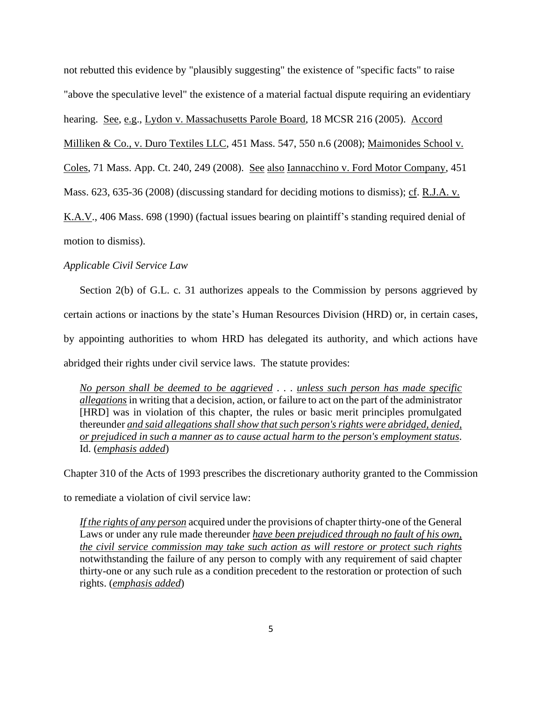not rebutted this evidence by "plausibly suggesting" the existence of "specific facts" to raise "above the speculative level" the existence of a material factual dispute requiring an evidentiary

hearing. See, e.g., Lydon v. Massachusetts Parole Board, 18 MCSR 216 (2005). Accord

Milliken & Co., v. Duro Textiles LLC, [451 Mass. 547,](http://sll.gvpi.net/document.php?field=jd&value=sjcapp:451_mass._547) 550 n.6 (2008); Maimonides School v.

Coles, 71 Mass. App. Ct. 240, 249 (2008). See also Iannacchino v. Ford Motor Company, [451](http://sll.gvpi.net/document.php?field=jd&value=sjcapp:451_mass._623) 

[Mass. 623,](http://sll.gvpi.net/document.php?field=jd&value=sjcapp:451_mass._623) 635-36 (2008) (discussing standard for deciding motions to dismiss); cf. R.J.A. v.

K.A.V., [406 Mass. 698](http://sll.gvpi.net/document.php?field=jd&value=sjcapp:406_mass._698) (1990) (factual issues bearing on plaintiff's standing required denial of

motion to dismiss).

### *Applicable Civil Service Law*

Section 2(b) of G.L. c. 31 authorizes appeals to the Commission by persons aggrieved by certain actions or inactions by the state's Human Resources Division (HRD) or, in certain cases, by appointing authorities to whom HRD has delegated its authority, and which actions have abridged their rights under civil service laws. The statute provides:

*No person shall be deemed to be aggrieved* . . . *unless such person has made specific allegations* in writing that a decision, action, or failure to act on the part of the administrator [HRD] was in violation of this chapter, the rules or basic merit principles promulgated thereunder *and said allegations shall show that such person's rights were abridged, denied, or prejudiced in such a manner as to cause actual harm to the person's employment status*. Id. (*emphasis added*)

Chapter 310 of the Acts of 1993 prescribes the discretionary authority granted to the Commission

to remediate a violation of civil service law:

*If the rights of any person* acquired under the provisions of chapter thirty-one of the General Laws or under any rule made thereunder *have been prejudiced through no fault of his own, the civil service commission may take such action as will restore or protect such rights* notwithstanding the failure of any person to comply with any requirement of said chapter thirty-one or any such rule as a condition precedent to the restoration or protection of such rights. (*emphasis added*)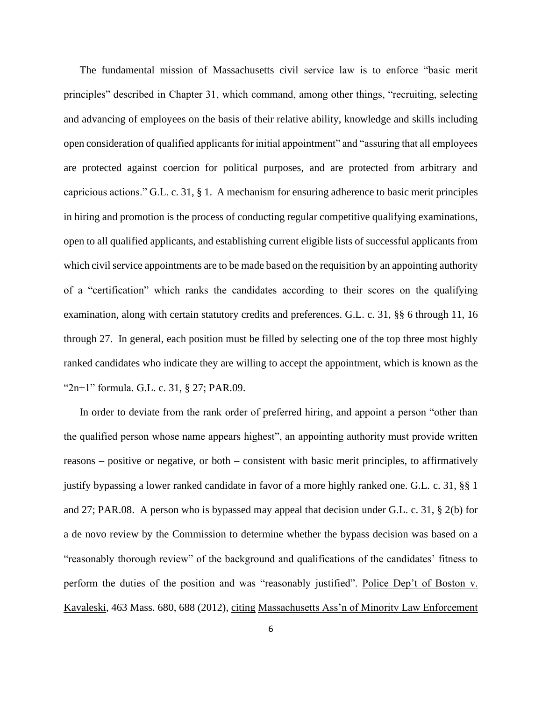The fundamental mission of Massachusetts civil service law is to enforce "basic merit principles" described in Chapter 31, which command, among other things, "recruiting, selecting and advancing of employees on the basis of their relative ability, knowledge and skills including open consideration of qualified applicants for initial appointment" and "assuring that all employees are protected against coercion for political purposes, and are protected from arbitrary and capricious actions." G.L. c. 31, § 1. A mechanism for ensuring adherence to basic merit principles in hiring and promotion is the process of conducting regular competitive qualifying examinations, open to all qualified applicants, and establishing current eligible lists of successful applicants from which civil service appointments are to be made based on the requisition by an appointing authority of a "certification" which ranks the candidates according to their scores on the qualifying examination, along with certain statutory credits and preferences. G.L. c. 31, §§ 6 through 11, 16 through 27. In general, each position must be filled by selecting one of the top three most highly ranked candidates who indicate they are willing to accept the appointment, which is known as the "2n+1" formula. G.L. c. 31, § 27; PAR.09.

In order to deviate from the rank order of preferred hiring, and appoint a person "other than the qualified person whose name appears highest", an appointing authority must provide written reasons – positive or negative, or both – consistent with basic merit principles, to affirmatively justify bypassing a lower ranked candidate in favor of a more highly ranked one. G.L. c. 31, §§ 1 and 27; PAR.08. A person who is bypassed may appeal that decision under G.L. c. 31, § 2(b) for a de novo review by the Commission to determine whether the bypass decision was based on a "reasonably thorough review" of the background and qualifications of the candidates' fitness to perform the duties of the position and was "reasonably justified". Police Dep't of Boston v. Kavaleski, 463 Mass. 680, 688 (2012), citing Massachusetts Ass'n of Minority Law Enforcement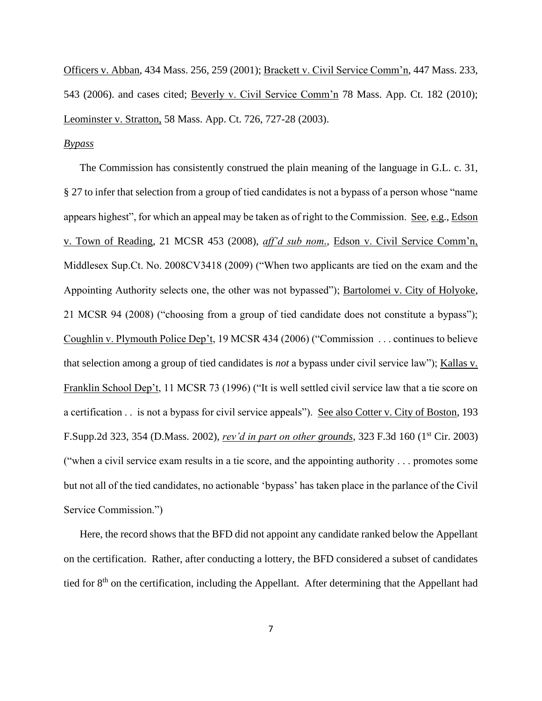Officers v. Abban, 434 Mass. 256, 259 (2001); Brackett v. Civil Service Comm'n, 447 Mass. 233, 543 (2006). and cases cited; Beverly v. Civil Service Comm'n 78 Mass. App. Ct. 182 (2010); Leominster v. Stratton, 58 Mass. App. Ct. 726, 727-28 (2003).

## *Bypass*

The Commission has consistently construed the plain meaning of the language in G.L. c. 31, § 27 to infer that selection from a group of tied candidates is not a bypass of a person whose "name appears highest", for which an appeal may be taken as of right to the Commission. See, e.g., Edson v. Town of Reading, 21 MCSR 453 (2008), *aff'd sub nom.*, Edson v. Civil Service Comm'n, Middlesex Sup.Ct. No. 2008CV3418 (2009) ("When two applicants are tied on the exam and the Appointing Authority selects one, the other was not bypassed"); Bartolomei v. City of Holyoke, 21 MCSR 94 (2008) ("choosing from a group of tied candidate does not constitute a bypass"); Coughlin v. Plymouth Police Dep't, 19 MCSR 434 (2006) ("Commission . . . continues to believe that selection among a group of tied candidates is *not* a bypass under civil service law"); Kallas v. Franklin School Dep't, 11 MCSR 73 (1996) ("It is well settled civil service law that a tie score on a certification . . is not a bypass for civil service appeals"). See also Cotter v. City of Boston, 193 F.Supp.2d 323, 354 (D.Mass. 2002), *rev'd in part on other grounds*, 323 F.3d 160 (1st Cir. 2003) ("when a civil service exam results in a tie score, and the appointing authority . . . promotes some but not all of the tied candidates, no actionable 'bypass' has taken place in the parlance of the Civil Service Commission.")

Here, the record shows that the BFD did not appoint any candidate ranked below the Appellant on the certification. Rather, after conducting a lottery, the BFD considered a subset of candidates tied for 8<sup>th</sup> on the certification, including the Appellant. After determining that the Appellant had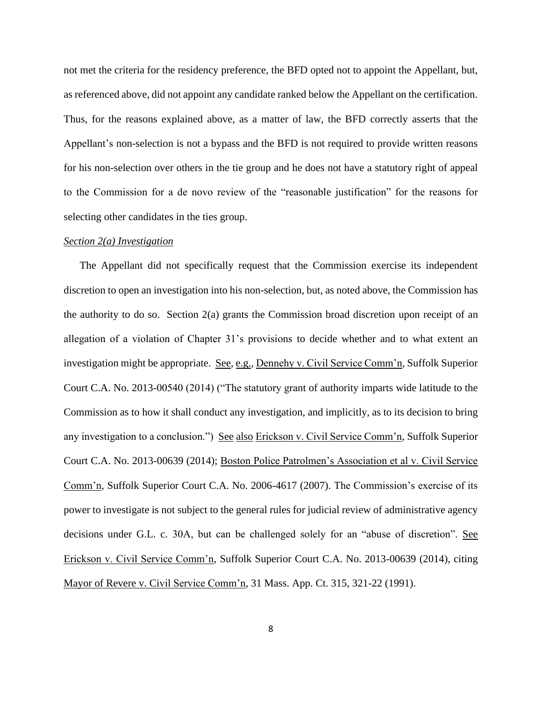not met the criteria for the residency preference, the BFD opted not to appoint the Appellant, but, as referenced above, did not appoint any candidate ranked below the Appellant on the certification. Thus, for the reasons explained above, as a matter of law, the BFD correctly asserts that the Appellant's non-selection is not a bypass and the BFD is not required to provide written reasons for his non-selection over others in the tie group and he does not have a statutory right of appeal to the Commission for a de novo review of the "reasonable justification" for the reasons for selecting other candidates in the ties group.

### *Section 2(a) Investigation*

The Appellant did not specifically request that the Commission exercise its independent discretion to open an investigation into his non-selection, but, as noted above, the Commission has the authority to do so. Section 2(a) grants the Commission broad discretion upon receipt of an allegation of a violation of Chapter 31's provisions to decide whether and to what extent an investigation might be appropriate. See, e.g., Dennehy v. Civil Service Comm'n, Suffolk Superior Court C.A. No. 2013-00540 (2014) ("The statutory grant of authority imparts wide latitude to the Commission as to how it shall conduct any investigation, and implicitly, as to its decision to bring any investigation to a conclusion.") See also Erickson v. Civil Service Comm'n, Suffolk Superior Court C.A. No. 2013-00639 (2014); Boston Police Patrolmen's Association et al v. Civil Service Comm'n, Suffolk Superior Court C.A. No. 2006-4617 (2007). The Commission's exercise of its power to investigate is not subject to the general rules for judicial review of administrative agency decisions under G.L. c. 30A, but can be challenged solely for an "abuse of discretion". See Erickson v. Civil Service Comm'n, Suffolk Superior Court C.A. No. 2013-00639 (2014), citing Mayor of Revere v. Civil Service Comm'n, 31 Mass. App. Ct. 315, 321-22 (1991).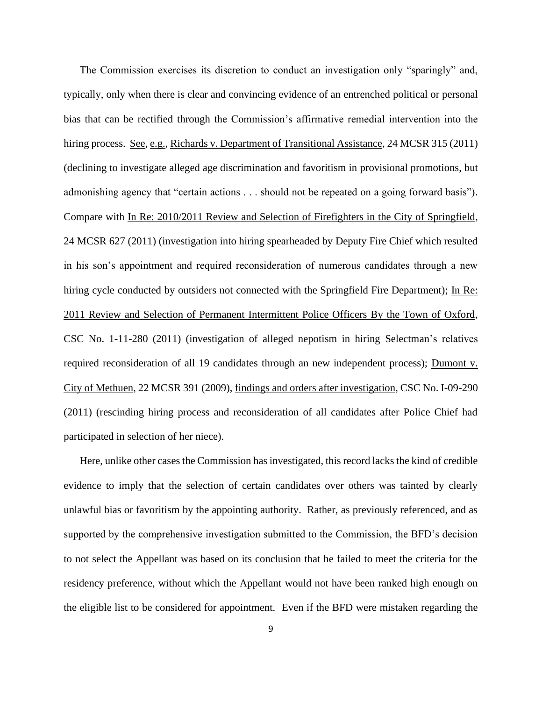The Commission exercises its discretion to conduct an investigation only "sparingly" and, typically, only when there is clear and convincing evidence of an entrenched political or personal bias that can be rectified through the Commission's affirmative remedial intervention into the hiring process. See, e.g., Richards v. Department of Transitional Assistance, 24 MCSR 315 (2011) (declining to investigate alleged age discrimination and favoritism in provisional promotions, but admonishing agency that "certain actions . . . should not be repeated on a going forward basis"). Compare with In Re: 2010/2011 Review and Selection of Firefighters in the City of Springfield, 24 MCSR 627 (2011) (investigation into hiring spearheaded by Deputy Fire Chief which resulted in his son's appointment and required reconsideration of numerous candidates through a new hiring cycle conducted by outsiders not connected with the Springfield Fire Department); In Re: 2011 Review and Selection of Permanent Intermittent Police Officers By the Town of Oxford, CSC No. 1-11-280 (2011) (investigation of alleged nepotism in hiring Selectman's relatives required reconsideration of all 19 candidates through an new independent process); Dumont v. City of Methuen, 22 MCSR 391 (2009), findings and orders after investigation, CSC No. I-09-290 (2011) (rescinding hiring process and reconsideration of all candidates after Police Chief had participated in selection of her niece).

Here, unlike other cases the Commission has investigated, this record lacks the kind of credible evidence to imply that the selection of certain candidates over others was tainted by clearly unlawful bias or favoritism by the appointing authority. Rather, as previously referenced, and as supported by the comprehensive investigation submitted to the Commission, the BFD's decision to not select the Appellant was based on its conclusion that he failed to meet the criteria for the residency preference, without which the Appellant would not have been ranked high enough on the eligible list to be considered for appointment. Even if the BFD were mistaken regarding the